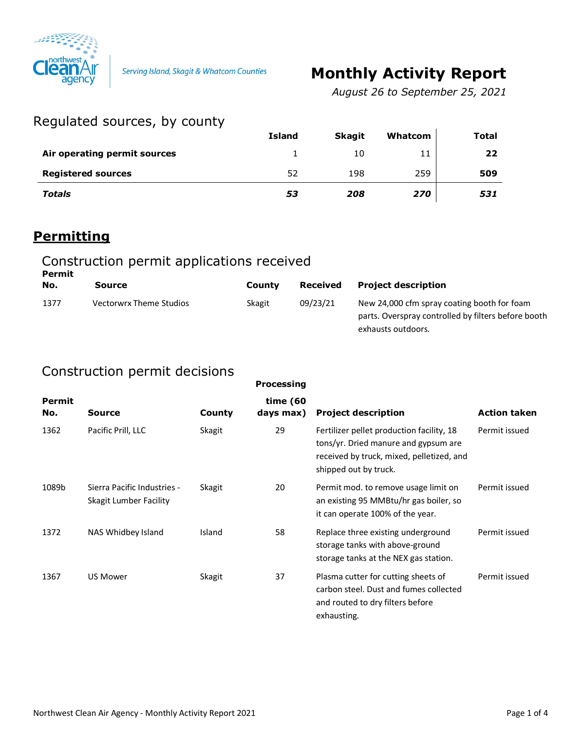

# **Monthly Activity Report**

*August 26 to September 25, 2021*

# Regulated sources, by county

| $104$ and $100$ and $100$ and $100$ and $100$ |               |               |         |       |
|-----------------------------------------------|---------------|---------------|---------|-------|
|                                               | <b>Island</b> | <b>Skagit</b> | Whatcom | Total |
| Air operating permit sources                  |               | 10            | 11      | 22    |
| <b>Registered sources</b>                     | 52            | 198           | 259     | 509   |
| Totals                                        | 53            | 208           | 270     | 531   |

#### **Permitting**

#### Construction permit applications received **Permit**

| No.  | Source                  | County | Received | <b>Project description</b>                                                                                               |
|------|-------------------------|--------|----------|--------------------------------------------------------------------------------------------------------------------------|
| 1377 | Vectorwrx Theme Studios | Skagit | 09/23/21 | New 24,000 cfm spray coating booth for foam<br>parts. Overspray controlled by filters before booth<br>exhausts outdoors. |

# Construction permit decisions

|                      |                                                       |        | <b>Processing</b>     |                                                                                                                                                         |                     |
|----------------------|-------------------------------------------------------|--------|-----------------------|---------------------------------------------------------------------------------------------------------------------------------------------------------|---------------------|
| <b>Permit</b><br>No. | Source                                                | County | time (60<br>days max) | <b>Project description</b>                                                                                                                              | <b>Action taken</b> |
| 1362                 | Pacific Prill, LLC                                    | Skagit | 29                    | Fertilizer pellet production facility, 18<br>tons/yr. Dried manure and gypsum are<br>received by truck, mixed, pelletized, and<br>shipped out by truck. | Permit issued       |
| 1089b                | Sierra Pacific Industries -<br>Skagit Lumber Facility | Skagit | 20                    | Permit mod. to remove usage limit on<br>an existing 95 MMBtu/hr gas boiler, so<br>it can operate 100% of the year.                                      | Permit issued       |
| 1372                 | NAS Whidbey Island                                    | Island | 58                    | Replace three existing underground<br>storage tanks with above-ground<br>storage tanks at the NEX gas station.                                          | Permit issued       |
| 1367                 | <b>US Mower</b>                                       | Skagit | 37                    | Plasma cutter for cutting sheets of<br>carbon steel. Dust and fumes collected<br>and routed to dry filters before<br>exhausting.                        | Permit issued       |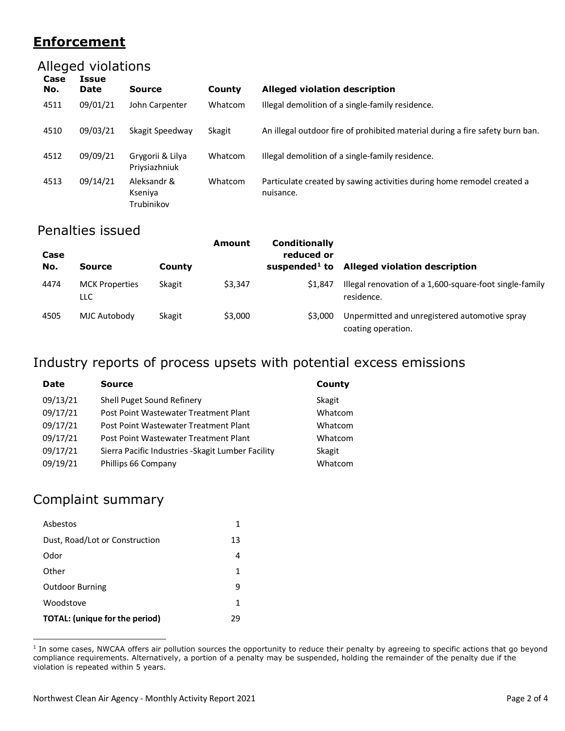# **Enforcement**

# Alleged violations

| Case<br>No. | Issue<br><b>Date</b> | <b>Source</b>                        | County  | <b>Alleged violation description</b>                                                |
|-------------|----------------------|--------------------------------------|---------|-------------------------------------------------------------------------------------|
| 4511        | 09/01/21             | John Carpenter                       | Whatcom | Illegal demolition of a single-family residence.                                    |
| 4510        | 09/03/21             | Skagit Speedway                      | Skagit  | An illegal outdoor fire of prohibited material during a fire safety burn ban.       |
| 4512        | 09/09/21             | Grygorii & Lilya<br>Priysiazhniuk    | Whatcom | Illegal demolition of a single-family residence.                                    |
| 4513        | 09/14/21             | Aleksandr &<br>Kseniya<br>Trubinikov | Whatcom | Particulate created by sawing activities during home remodel created a<br>nuisance. |

### Penalties issued

| Case<br>No. | <b>Source</b>                 | County | Amount  | <b>Conditionally</b><br>reduced or<br>suspended <sup>1</sup> to | <b>Alleged violation description</b>                                  |
|-------------|-------------------------------|--------|---------|-----------------------------------------------------------------|-----------------------------------------------------------------------|
| 4474        | <b>MCK Properties</b><br>LLC. | Skagit | \$3,347 | \$1.847                                                         | Illegal renovation of a 1,600-square-foot single-family<br>residence. |
| 4505        | MJC Autobody                  | Skagit | \$3,000 | \$3,000                                                         | Unpermitted and unregistered automotive spray<br>coating operation.   |

# Industry reports of process upsets with potential excess emissions

| Date     | <b>Source</b>                                      | County  |
|----------|----------------------------------------------------|---------|
| 09/13/21 | Shell Puget Sound Refinery                         | Skagit  |
| 09/17/21 | Post Point Wastewater Treatment Plant              | Whatcom |
| 09/17/21 | Post Point Wastewater Treatment Plant              | Whatcom |
| 09/17/21 | Post Point Wastewater Treatment Plant              | Whatcom |
| 09/17/21 | Sierra Pacific Industries - Skagit Lumber Facility | Skagit  |
| 09/19/21 | Phillips 66 Company                                | Whatcom |

# Complaint summary

| Asbestos                       |    |
|--------------------------------|----|
| Dust, Road/Lot or Construction | 13 |
| Odor                           | 4  |
| Other                          | 1  |
| <b>Outdoor Burning</b>         | q  |
| Woodstove                      | 1  |
| TOTAL: (unique for the period) | 29 |

<span id="page-1-0"></span><sup>1</sup> In some cases, NWCAA offers air pollution sources the opportunity to reduce their penalty by agreeing to specific actions that go beyond compliance requirements. Alternatively, a portion of a penalty may be suspended, holding the remainder of the penalty due if the violation is repeated within 5 years.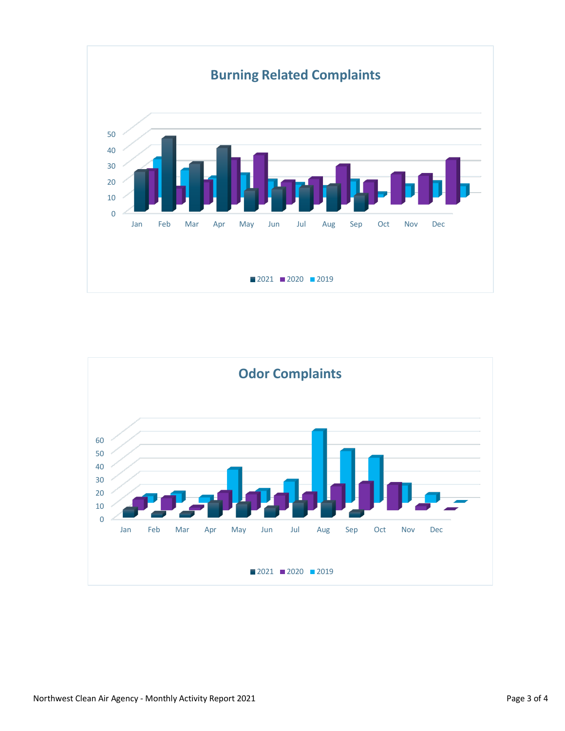